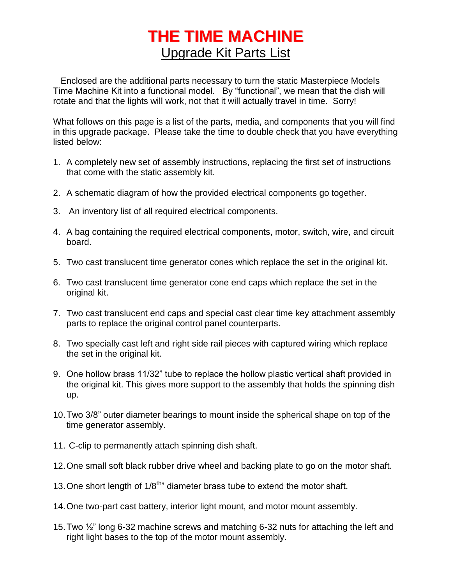# **THE TIME MACHINE** Upgrade Kit Parts List

 Enclosed are the additional parts necessary to turn the static Masterpiece Models Time Machine Kit into a functional model. By "functional", we mean that the dish will rotate and that the lights will work, not that it will actually travel in time. Sorry!

What follows on this page is a list of the parts, media, and components that you will find in this upgrade package. Please take the time to double check that you have everything listed below:

- 1. A completely new set of assembly instructions, replacing the first set of instructions that come with the static assembly kit.
- 2. A schematic diagram of how the provided electrical components go together.
- 3. An inventory list of all required electrical components.
- 4. A bag containing the required electrical components, motor, switch, wire, and circuit board.
- 5. Two cast translucent time generator cones which replace the set in the original kit.
- 6. Two cast translucent time generator cone end caps which replace the set in the original kit.
- 7. Two cast translucent end caps and special cast clear time key attachment assembly parts to replace the original control panel counterparts.
- 8. Two specially cast left and right side rail pieces with captured wiring which replace the set in the original kit.
- 9. One hollow brass 11/32" tube to replace the hollow plastic vertical shaft provided in the original kit. This gives more support to the assembly that holds the spinning dish up.
- 10.Two 3/8" outer diameter bearings to mount inside the spherical shape on top of the time generator assembly.
- 11. C-clip to permanently attach spinning dish shaft.
- 12.One small soft black rubber drive wheel and backing plate to go on the motor shaft.
- 13. One short length of  $1/8^{th}$ " diameter brass tube to extend the motor shaft.
- 14.One two-part cast battery, interior light mount, and motor mount assembly.
- 15.Two ½" long 6-32 machine screws and matching 6-32 nuts for attaching the left and right light bases to the top of the motor mount assembly.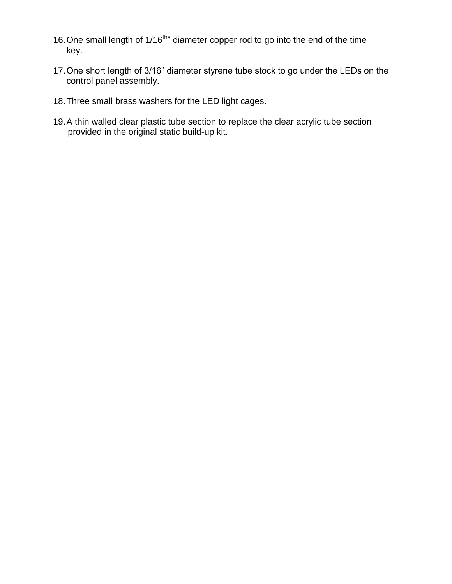- 16. One small length of 1/16<sup>th</sup>" diameter copper rod to go into the end of the time key.
- 17.One short length of 3/16" diameter styrene tube stock to go under the LEDs on the control panel assembly.
- 18.Three small brass washers for the LED light cages.
- 19.A thin walled clear plastic tube section to replace the clear acrylic tube section provided in the original static build-up kit.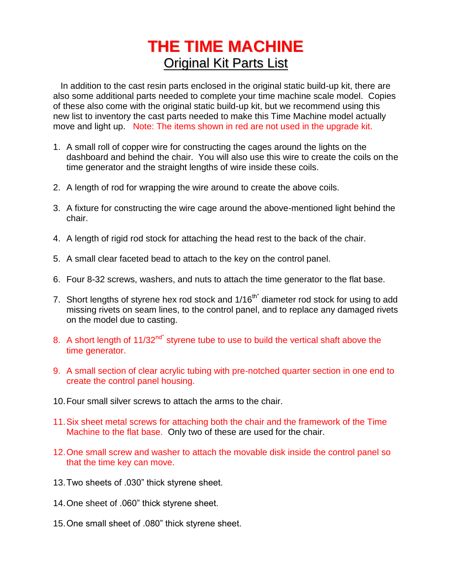# **THE TIME MACHINE** Original Kit Parts List

 In addition to the cast resin parts enclosed in the original static build-up kit, there are also some additional parts needed to complete your time machine scale model. Copies of these also come with the original static build-up kit, but we recommend using this new list to inventory the cast parts needed to make this Time Machine model actually move and light up. Note: The items shown in red are not used in the upgrade kit.

- 1. A small roll of copper wire for constructing the cages around the lights on the dashboard and behind the chair. You will also use this wire to create the coils on the time generator and the straight lengths of wire inside these coils.
- 2. A length of rod for wrapping the wire around to create the above coils.
- 3. A fixture for constructing the wire cage around the above-mentioned light behind the chair.
- 4. A length of rigid rod stock for attaching the head rest to the back of the chair.
- 5. A small clear faceted bead to attach to the key on the control panel.
- 6. Four 8-32 screws, washers, and nuts to attach the time generator to the flat base.
- 7. Short lengths of styrene hex rod stock and 1/16<sup>th"</sup> diameter rod stock for using to add missing rivets on seam lines, to the control panel, and to replace any damaged rivets on the model due to casting.
- 8. A short length of  $11/32^{nd}$  styrene tube to use to build the vertical shaft above the time generator.
- 9. A small section of clear acrylic tubing with pre-notched quarter section in one end to create the control panel housing.
- 10.Four small silver screws to attach the arms to the chair.
- 11.Six sheet metal screws for attaching both the chair and the framework of the Time Machine to the flat base. Only two of these are used for the chair.
- 12.One small screw and washer to attach the movable disk inside the control panel so that the time key can move.
- 13.Two sheets of .030" thick styrene sheet.
- 14.One sheet of .060" thick styrene sheet.
- 15.One small sheet of .080" thick styrene sheet.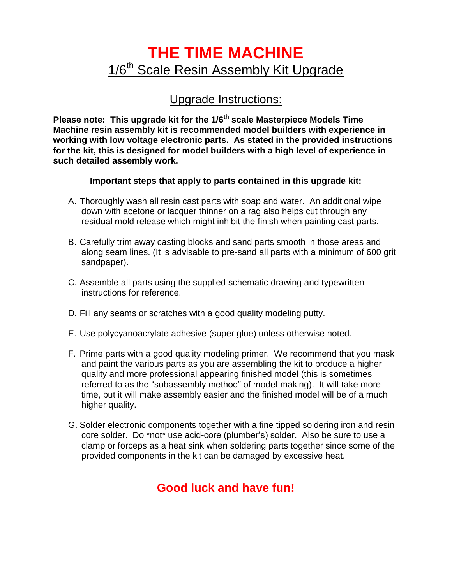## **THE TIME MACHINE** 1/6<sup>th</sup> Scale Resin Assembly Kit Upgrade

#### Upgrade Instructions:

**Please note: This upgrade kit for the 1/6th scale Masterpiece Models Time Machine resin assembly kit is recommended model builders with experience in working with low voltage electronic parts. As stated in the provided instructions for the kit, this is designed for model builders with a high level of experience in such detailed assembly work.**

#### **Important steps that apply to parts contained in this upgrade kit:**

- A. Thoroughly wash all resin cast parts with soap and water. An additional wipe down with acetone or lacquer thinner on a rag also helps cut through any residual mold release which might inhibit the finish when painting cast parts.
- B. Carefully trim away casting blocks and sand parts smooth in those areas and along seam lines. (It is advisable to pre-sand all parts with a minimum of 600 grit sandpaper).
- C. Assemble all parts using the supplied schematic drawing and typewritten instructions for reference.
- D. Fill any seams or scratches with a good quality modeling putty.
- E. Use polycyanoacrylate adhesive (super glue) unless otherwise noted.
- F. Prime parts with a good quality modeling primer. We recommend that you mask and paint the various parts as you are assembling the kit to produce a higher quality and more professional appearing finished model (this is sometimes referred to as the "subassembly method" of model-making). It will take more time, but it will make assembly easier and the finished model will be of a much higher quality.
- G. Solder electronic components together with a fine tipped soldering iron and resin core solder. Do \*not\* use acid-core (plumber's) solder. Also be sure to use a clamp or forceps as a heat sink when soldering parts together since some of the provided components in the kit can be damaged by excessive heat.

### **Good luck and have fun!**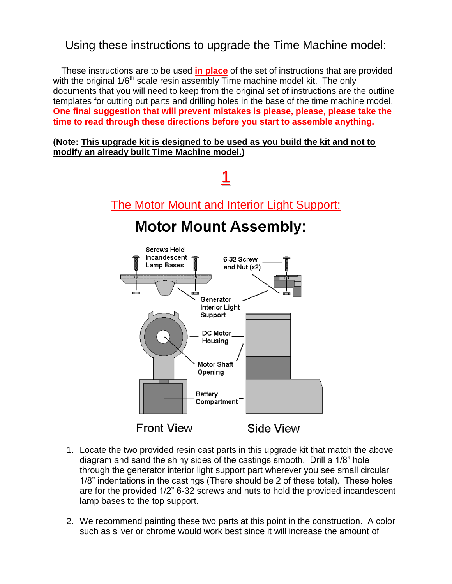#### Using these instructions to upgrade the Time Machine model:

 These instructions are to be used **in place** of the set of instructions that are provided with the original  $1/6<sup>th</sup>$  scale resin assembly Time machine model kit. The only documents that you will need to keep from the original set of instructions are the outline templates for cutting out parts and drilling holes in the base of the time machine model. **One final suggestion that will prevent mistakes is please, please, please take the time to read through these directions before you start to assemble anything.**

#### **(Note: This upgrade kit is designed to be used as you build the kit and not to modify an already built Time Machine model.)**



- 1. Locate the two provided resin cast parts in this upgrade kit that match the above diagram and sand the shiny sides of the castings smooth. Drill a 1/8" hole through the generator interior light support part wherever you see small circular 1/8" indentations in the castings (There should be 2 of these total). These holes are for the provided 1/2" 6-32 screws and nuts to hold the provided incandescent lamp bases to the top support.
- 2. We recommend painting these two parts at this point in the construction. A color such as silver or chrome would work best since it will increase the amount of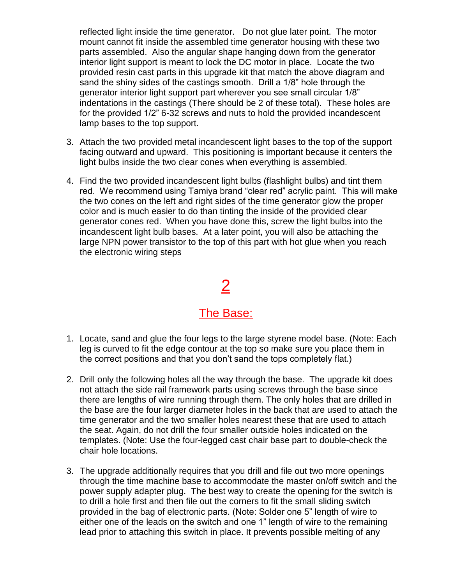reflected light inside the time generator. Do not glue later point. The motor mount cannot fit inside the assembled time generator housing with these two parts assembled. Also the angular shape hanging down from the generator interior light support is meant to lock the DC motor in place. Locate the two provided resin cast parts in this upgrade kit that match the above diagram and sand the shiny sides of the castings smooth. Drill a 1/8" hole through the generator interior light support part wherever you see small circular 1/8" indentations in the castings (There should be 2 of these total). These holes are for the provided 1/2" 6-32 screws and nuts to hold the provided incandescent lamp bases to the top support.

- 3. Attach the two provided metal incandescent light bases to the top of the support facing outward and upward. This positioning is important because it centers the light bulbs inside the two clear cones when everything is assembled.
- 4. Find the two provided incandescent light bulbs (flashlight bulbs) and tint them red. We recommend using Tamiya brand "clear red" acrylic paint. This will make the two cones on the left and right sides of the time generator glow the proper color and is much easier to do than tinting the inside of the provided clear generator cones red. When you have done this, screw the light bulbs into the incandescent light bulb bases. At a later point, you will also be attaching the large NPN power transistor to the top of this part with hot glue when you reach the electronic wiring steps

## 2

#### The Base:

- 1. Locate, sand and glue the four legs to the large styrene model base. (Note: Each leg is curved to fit the edge contour at the top so make sure you place them in the correct positions and that you don't sand the tops completely flat.)
- 2. Drill only the following holes all the way through the base. The upgrade kit does not attach the side rail framework parts using screws through the base since there are lengths of wire running through them. The only holes that are drilled in the base are the four larger diameter holes in the back that are used to attach the time generator and the two smaller holes nearest these that are used to attach the seat. Again, do not drill the four smaller outside holes indicated on the templates. (Note: Use the four-legged cast chair base part to double-check the chair hole locations.
- 3. The upgrade additionally requires that you drill and file out two more openings through the time machine base to accommodate the master on/off switch and the power supply adapter plug. The best way to create the opening for the switch is to drill a hole first and then file out the corners to fit the small sliding switch provided in the bag of electronic parts. (Note: Solder one 5" length of wire to either one of the leads on the switch and one 1" length of wire to the remaining lead prior to attaching this switch in place. It prevents possible melting of any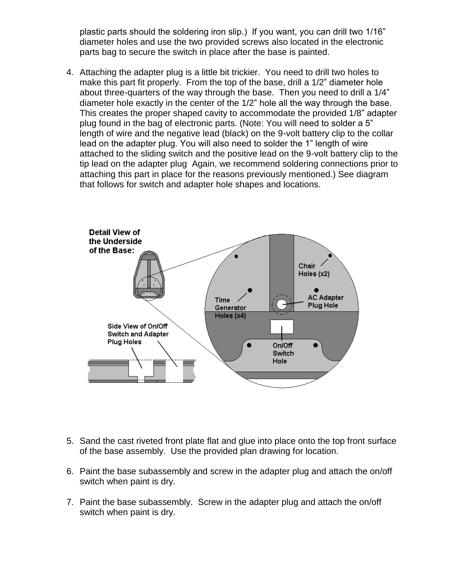plastic parts should the soldering iron slip.) If you want, you can drill two 1/16" diameter holes and use the two provided screws also located in the electronic parts bag to secure the switch in place after the base is painted.

4. Attaching the adapter plug is a little bit trickier. You need to drill two holes to make this part fit properly. From the top of the base, drill a 1/2" diameter hole about three-quarters of the way through the base. Then you need to drill a 1/4" diameter hole exactly in the center of the 1/2" hole all the way through the base. This creates the proper shaped cavity to accommodate the provided 1/8" adapter plug found in the bag of electronic parts. (Note: You will need to solder a 5" length of wire and the negative lead (black) on the 9-volt battery clip to the collar lead on the adapter plug. You will also need to solder the 1" length of wire attached to the sliding switch and the positive lead on the 9-volt battery clip to the tip lead on the adapter plug Again, we recommend soldering connections prior to attaching this part in place for the reasons previously mentioned.) See diagram that follows for switch and adapter hole shapes and locations.



- 5. Sand the cast riveted front plate flat and glue into place onto the top front surface of the base assembly. Use the provided plan drawing for location.
- 6. Paint the base subassembly and screw in the adapter plug and attach the on/off switch when paint is dry.
- 7. Paint the base subassembly. Screw in the adapter plug and attach the on/off switch when paint is dry.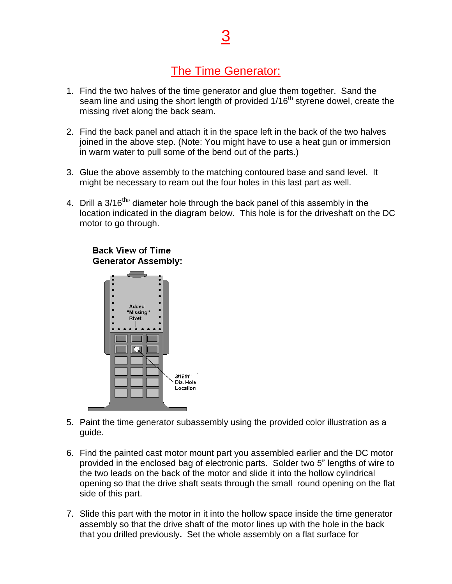### The Time Generator:

- 1. Find the two halves of the time generator and glue them together. Sand the seam line and using the short length of provided 1/16<sup>th</sup> styrene dowel, create the missing rivet along the back seam.
- 2. Find the back panel and attach it in the space left in the back of the two halves joined in the above step. (Note: You might have to use a heat gun or immersion in warm water to pull some of the bend out of the parts.)
- 3. Glue the above assembly to the matching contoured base and sand level. It might be necessary to ream out the four holes in this last part as well.
- 4. Drill a 3/16<sup>th</sup>" diameter hole through the back panel of this assembly in the location indicated in the diagram below. This hole is for the driveshaft on the DC motor to go through.



#### **Back View of Time Generator Assembly:**

- 5. Paint the time generator subassembly using the provided color illustration as a guide.
- 6. Find the painted cast motor mount part you assembled earlier and the DC motor provided in the enclosed bag of electronic parts. Solder two 5" lengths of wire to the two leads on the back of the motor and slide it into the hollow cylindrical opening so that the drive shaft seats through the small round opening on the flat side of this part.
- 7. Slide this part with the motor in it into the hollow space inside the time generator assembly so that the drive shaft of the motor lines up with the hole in the back that you drilled previously**.** Set the whole assembly on a flat surface for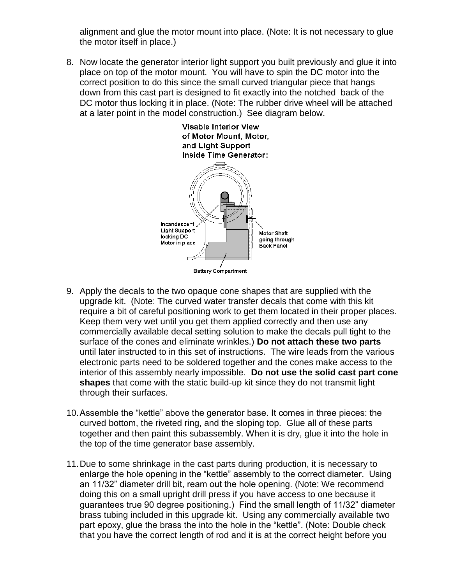alignment and glue the motor mount into place. (Note: It is not necessary to glue the motor itself in place.)

8. Now locate the generator interior light support you built previously and glue it into place on top of the motor mount. You will have to spin the DC motor into the correct position to do this since the small curved triangular piece that hangs down from this cast part is designed to fit exactly into the notched back of the DC motor thus locking it in place. (Note: The rubber drive wheel will be attached at a later point in the model construction.) See diagram below.



- 9. Apply the decals to the two opaque cone shapes that are supplied with the upgrade kit. (Note: The curved water transfer decals that come with this kit require a bit of careful positioning work to get them located in their proper places. Keep them very wet until you get them applied correctly and then use any commercially available decal setting solution to make the decals pull tight to the surface of the cones and eliminate wrinkles.) **Do not attach these two parts** until later instructed to in this set of instructions. The wire leads from the various electronic parts need to be soldered together and the cones make access to the interior of this assembly nearly impossible. **Do not use the solid cast part cone shapes** that come with the static build-up kit since they do not transmit light through their surfaces.
- 10.Assemble the "kettle" above the generator base. It comes in three pieces: the curved bottom, the riveted ring, and the sloping top. Glue all of these parts together and then paint this subassembly. When it is dry, glue it into the hole in the top of the time generator base assembly.
- 11.Due to some shrinkage in the cast parts during production, it is necessary to enlarge the hole opening in the "kettle" assembly to the correct diameter. Using an 11/32" diameter drill bit, ream out the hole opening. (Note: We recommend doing this on a small upright drill press if you have access to one because it guarantees true 90 degree positioning.) Find the small length of 11/32" diameter brass tubing included in this upgrade kit. Using any commercially available two part epoxy, glue the brass the into the hole in the "kettle". (Note: Double check that you have the correct length of rod and it is at the correct height before you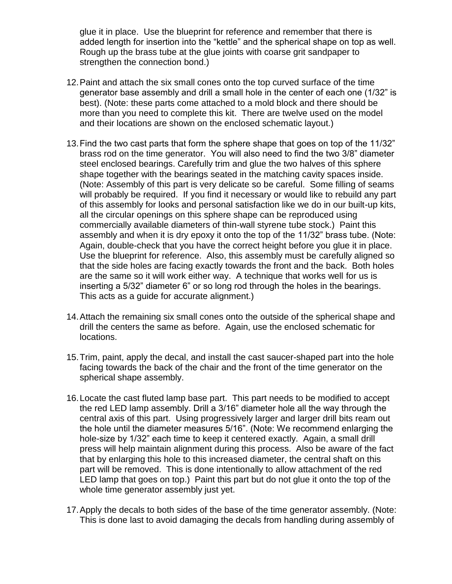glue it in place. Use the blueprint for reference and remember that there is added length for insertion into the "kettle" and the spherical shape on top as well. Rough up the brass tube at the glue joints with coarse grit sandpaper to strengthen the connection bond.)

- 12.Paint and attach the six small cones onto the top curved surface of the time generator base assembly and drill a small hole in the center of each one (1/32" is best). (Note: these parts come attached to a mold block and there should be more than you need to complete this kit. There are twelve used on the model and their locations are shown on the enclosed schematic layout.)
- 13.Find the two cast parts that form the sphere shape that goes on top of the 11/32" brass rod on the time generator.You will also need to find the two 3/8" diameter steel enclosed bearings. Carefully trim and glue the two halves of this sphere shape together with the bearings seated in the matching cavity spaces inside. (Note: Assembly of this part is very delicate so be careful. Some filling of seams will probably be required. If you find it necessary or would like to rebuild any part of this assembly for looks and personal satisfaction like we do in our built-up kits, all the circular openings on this sphere shape can be reproduced using commercially available diameters of thin-wall styrene tube stock.) Paint this assembly and when it is dry epoxy it onto the top of the 11/32" brass tube. (Note: Again, double-check that you have the correct height before you glue it in place. Use the blueprint for reference. Also, this assembly must be carefully aligned so that the side holes are facing exactly towards the front and the back. Both holes are the same so it will work either way. A technique that works well for us is inserting a 5/32" diameter 6" or so long rod through the holes in the bearings. This acts as a guide for accurate alignment.)
- 14.Attach the remaining six small cones onto the outside of the spherical shape and drill the centers the same as before. Again, use the enclosed schematic for locations.
- 15.Trim, paint, apply the decal, and install the cast saucer-shaped part into the hole facing towards the back of the chair and the front of the time generator on the spherical shape assembly.
- 16.Locate the cast fluted lamp base part. This part needs to be modified to accept the red LED lamp assembly. Drill a 3/16" diameter hole all the way through the central axis of this part. Using progressively larger and larger drill bits ream out the hole until the diameter measures 5/16". (Note: We recommend enlarging the hole-size by 1/32" each time to keep it centered exactly. Again, a small drill press will help maintain alignment during this process. Also be aware of the fact that by enlarging this hole to this increased diameter, the central shaft on this part will be removed. This is done intentionally to allow attachment of the red LED lamp that goes on top.) Paint this part but do not glue it onto the top of the whole time generator assembly just yet.
- 17.Apply the decals to both sides of the base of the time generator assembly. (Note: This is done last to avoid damaging the decals from handling during assembly of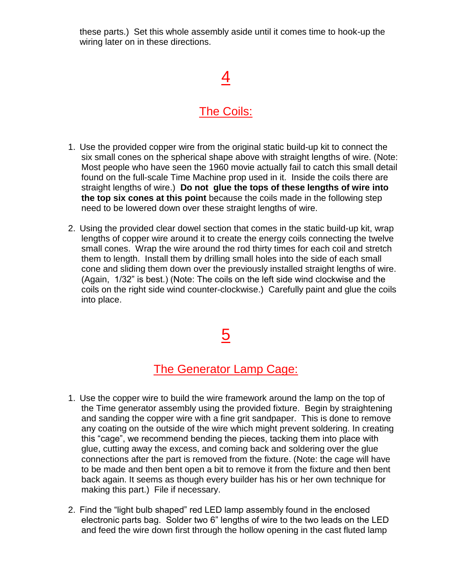these parts.) Set this whole assembly aside until it comes time to hook-up the wiring later on in these directions.

## 4

#### The Coils:

- 1. Use the provided copper wire from the original static build-up kit to connect the six small cones on the spherical shape above with straight lengths of wire. (Note: Most people who have seen the 1960 movie actually fail to catch this small detail found on the full-scale Time Machine prop used in it. Inside the coils there are straight lengths of wire.) **Do not glue the tops of these lengths of wire into the top six cones at this point** because the coils made in the following step need to be lowered down over these straight lengths of wire.
- 2. Using the provided clear dowel section that comes in the static build-up kit, wrap lengths of copper wire around it to create the energy coils connecting the twelve small cones. Wrap the wire around the rod thirty times for each coil and stretch them to length. Install them by drilling small holes into the side of each small cone and sliding them down over the previously installed straight lengths of wire. (Again, 1/32" is best.) (Note: The coils on the left side wind clockwise and the coils on the right side wind counter-clockwise.) Carefully paint and glue the coils into place.

## 5

#### The Generator Lamp Cage:

- 1. Use the copper wire to build the wire framework around the lamp on the top of the Time generator assembly using the provided fixture. Begin by straightening and sanding the copper wire with a fine grit sandpaper. This is done to remove any coating on the outside of the wire which might prevent soldering. In creating this "cage", we recommend bending the pieces, tacking them into place with glue, cutting away the excess, and coming back and soldering over the glue connections after the part is removed from the fixture. (Note: the cage will have to be made and then bent open a bit to remove it from the fixture and then bent back again. It seems as though every builder has his or her own technique for making this part.) File if necessary.
- 2. Find the "light bulb shaped" red LED lamp assembly found in the enclosed electronic parts bag. Solder two 6" lengths of wire to the two leads on the LED and feed the wire down first through the hollow opening in the cast fluted lamp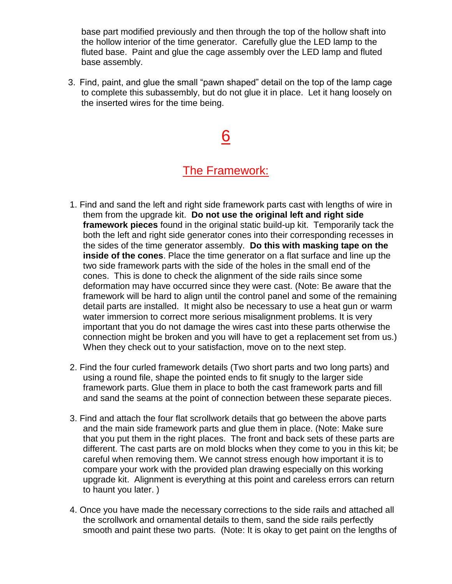base part modified previously and then through the top of the hollow shaft into the hollow interior of the time generator. Carefully glue the LED lamp to the fluted base. Paint and glue the cage assembly over the LED lamp and fluted base assembly.

3. Find, paint, and glue the small "pawn shaped" detail on the top of the lamp cage to complete this subassembly, but do not glue it in place. Let it hang loosely on the inserted wires for the time being.

# 6

#### The Framework:

- 1. Find and sand the left and right side framework parts cast with lengths of wire in them from the upgrade kit. **Do not use the original left and right side framework pieces** found in the original static build-up kit. Temporarily tack the both the left and right side generator cones into their corresponding recesses in the sides of the time generator assembly. **Do this with masking tape on the inside of the cones**. Place the time generator on a flat surface and line up the two side framework parts with the side of the holes in the small end of the cones. This is done to check the alignment of the side rails since some deformation may have occurred since they were cast. (Note: Be aware that the framework will be hard to align until the control panel and some of the remaining detail parts are installed. It might also be necessary to use a heat gun or warm water immersion to correct more serious misalignment problems. It is very important that you do not damage the wires cast into these parts otherwise the connection might be broken and you will have to get a replacement set from us.) When they check out to your satisfaction, move on to the next step.
- 2. Find the four curled framework details (Two short parts and two long parts) and using a round file, shape the pointed ends to fit snugly to the larger side framework parts. Glue them in place to both the cast framework parts and fill and sand the seams at the point of connection between these separate pieces.
- 3. Find and attach the four flat scrollwork details that go between the above parts and the main side framework parts and glue them in place. (Note: Make sure that you put them in the right places. The front and back sets of these parts are different. The cast parts are on mold blocks when they come to you in this kit; be careful when removing them. We cannot stress enough how important it is to compare your work with the provided plan drawing especially on this working upgrade kit. Alignment is everything at this point and careless errors can return to haunt you later. )
- 4. Once you have made the necessary corrections to the side rails and attached all the scrollwork and ornamental details to them, sand the side rails perfectly smooth and paint these two parts. (Note: It is okay to get paint on the lengths of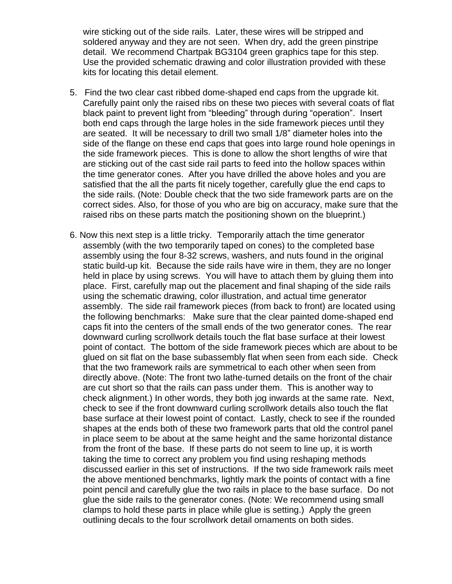wire sticking out of the side rails. Later, these wires will be stripped and soldered anyway and they are not seen. When dry, add the green pinstripe detail. We recommend Chartpak BG3104 green graphics tape for this step. Use the provided schematic drawing and color illustration provided with these kits for locating this detail element.

- 5. Find the two clear cast ribbed dome-shaped end caps from the upgrade kit. Carefully paint only the raised ribs on these two pieces with several coats of flat black paint to prevent light from "bleeding" through during "operation". Insert both end caps through the large holes in the side framework pieces until they are seated. It will be necessary to drill two small 1/8" diameter holes into the side of the flange on these end caps that goes into large round hole openings in the side framework pieces. This is done to allow the short lengths of wire that are sticking out of the cast side rail parts to feed into the hollow spaces within the time generator cones. After you have drilled the above holes and you are satisfied that the all the parts fit nicely together, carefully glue the end caps to the side rails. (Note: Double check that the two side framework parts are on the correct sides. Also, for those of you who are big on accuracy, make sure that the raised ribs on these parts match the positioning shown on the blueprint.)
- 6. Now this next step is a little tricky. Temporarily attach the time generator assembly (with the two temporarily taped on cones) to the completed base assembly using the four 8-32 screws, washers, and nuts found in the original static build-up kit. Because the side rails have wire in them, they are no longer held in place by using screws. You will have to attach them by gluing them into place. First, carefully map out the placement and final shaping of the side rails using the schematic drawing, color illustration, and actual time generator assembly. The side rail framework pieces (from back to front) are located using the following benchmarks: Make sure that the clear painted dome-shaped end caps fit into the centers of the small ends of the two generator cones. The rear downward curling scrollwork details touch the flat base surface at their lowest point of contact. The bottom of the side framework pieces which are about to be glued on sit flat on the base subassembly flat when seen from each side. Check that the two framework rails are symmetrical to each other when seen from directly above. (Note: The front two lathe-turned details on the front of the chair are cut short so that the rails can pass under them. This is another way to check alignment.) In other words, they both jog inwards at the same rate. Next, check to see if the front downward curling scrollwork details also touch the flat base surface at their lowest point of contact. Lastly, check to see if the rounded shapes at the ends both of these two framework parts that old the control panel in place seem to be about at the same height and the same horizontal distance from the front of the base. If these parts do not seem to line up, it is worth taking the time to correct any problem you find using reshaping methods discussed earlier in this set of instructions. If the two side framework rails meet the above mentioned benchmarks, lightly mark the points of contact with a fine point pencil and carefully glue the two rails in place to the base surface. Do not glue the side rails to the generator cones. (Note: We recommend using small clamps to hold these parts in place while glue is setting.) Apply the green outlining decals to the four scrollwork detail ornaments on both sides.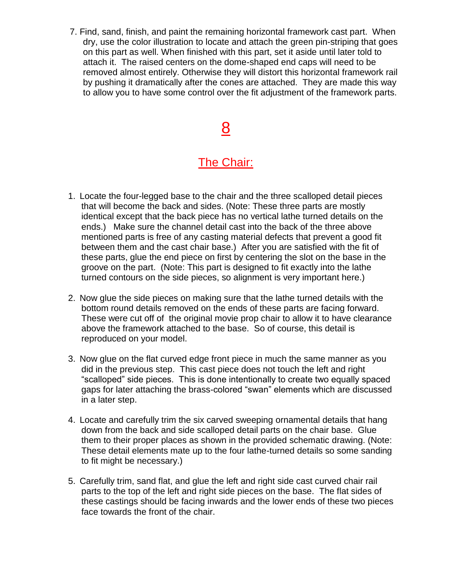7. Find, sand, finish, and paint the remaining horizontal framework cast part. When dry, use the color illustration to locate and attach the green pin-striping that goes on this part as well. When finished with this part, set it aside until later told to attach it. The raised centers on the dome-shaped end caps will need to be removed almost entirely. Otherwise they will distort this horizontal framework rail by pushing it dramatically after the cones are attached. They are made this way to allow you to have some control over the fit adjustment of the framework parts.

# 8

### The Chair:

- 1. Locate the four-legged base to the chair and the three scalloped detail pieces that will become the back and sides. (Note: These three parts are mostly identical except that the back piece has no vertical lathe turned details on the ends.) Make sure the channel detail cast into the back of the three above mentioned parts is free of any casting material defects that prevent a good fit between them and the cast chair base.) After you are satisfied with the fit of these parts, glue the end piece on first by centering the slot on the base in the groove on the part. (Note: This part is designed to fit exactly into the lathe turned contours on the side pieces, so alignment is very important here.)
- 2. Now glue the side pieces on making sure that the lathe turned details with the bottom round details removed on the ends of these parts are facing forward. These were cut off of the original movie prop chair to allow it to have clearance above the framework attached to the base. So of course, this detail is reproduced on your model.
- 3. Now glue on the flat curved edge front piece in much the same manner as you did in the previous step. This cast piece does not touch the left and right "scalloped" side pieces. This is done intentionally to create two equally spaced gaps for later attaching the brass-colored "swan" elements which are discussed in a later step.
- 4. Locate and carefully trim the six carved sweeping ornamental details that hang down from the back and side scalloped detail parts on the chair base. Glue them to their proper places as shown in the provided schematic drawing. (Note: These detail elements mate up to the four lathe-turned details so some sanding to fit might be necessary.)
- 5. Carefully trim, sand flat, and glue the left and right side cast curved chair rail parts to the top of the left and right side pieces on the base. The flat sides of these castings should be facing inwards and the lower ends of these two pieces face towards the front of the chair.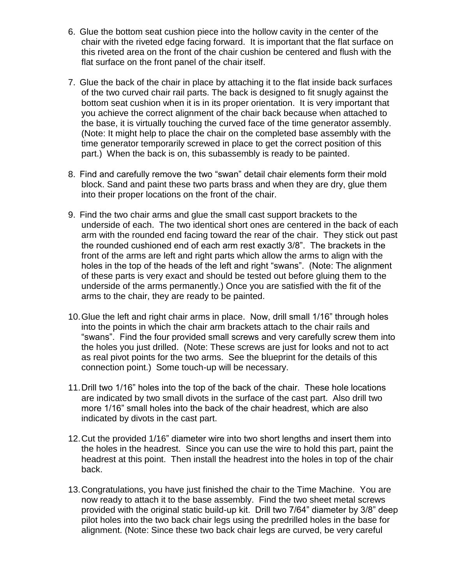- 6. Glue the bottom seat cushion piece into the hollow cavity in the center of the chair with the riveted edge facing forward. It is important that the flat surface on this riveted area on the front of the chair cushion be centered and flush with the flat surface on the front panel of the chair itself.
- 7. Glue the back of the chair in place by attaching it to the flat inside back surfaces of the two curved chair rail parts. The back is designed to fit snugly against the bottom seat cushion when it is in its proper orientation. It is very important that you achieve the correct alignment of the chair back because when attached to the base, it is virtually touching the curved face of the time generator assembly. (Note: It might help to place the chair on the completed base assembly with the time generator temporarily screwed in place to get the correct position of this part.) When the back is on, this subassembly is ready to be painted.
- 8. Find and carefully remove the two "swan" detail chair elements form their mold block. Sand and paint these two parts brass and when they are dry, glue them into their proper locations on the front of the chair.
- 9. Find the two chair arms and glue the small cast support brackets to the underside of each. The two identical short ones are centered in the back of each arm with the rounded end facing toward the rear of the chair. They stick out past the rounded cushioned end of each arm rest exactly 3/8". The brackets in the front of the arms are left and right parts which allow the arms to align with the holes in the top of the heads of the left and right "swans". (Note: The alignment of these parts is very exact and should be tested out before gluing them to the underside of the arms permanently.) Once you are satisfied with the fit of the arms to the chair, they are ready to be painted.
- 10.Glue the left and right chair arms in place. Now, drill small 1/16" through holes into the points in which the chair arm brackets attach to the chair rails and "swans". Find the four provided small screws and very carefully screw them into the holes you just drilled. (Note: These screws are just for looks and not to act as real pivot points for the two arms. See the blueprint for the details of this connection point.) Some touch-up will be necessary.
- 11.Drill two 1/16" holes into the top of the back of the chair. These hole locations are indicated by two small divots in the surface of the cast part. Also drill two more 1/16" small holes into the back of the chair headrest, which are also indicated by divots in the cast part.
- 12.Cut the provided 1/16" diameter wire into two short lengths and insert them into the holes in the headrest. Since you can use the wire to hold this part, paint the headrest at this point. Then install the headrest into the holes in top of the chair back.
- 13.Congratulations, you have just finished the chair to the Time Machine. You are now ready to attach it to the base assembly. Find the two sheet metal screws provided with the original static build-up kit. Drill two 7/64" diameter by 3/8" deep pilot holes into the two back chair legs using the predrilled holes in the base for alignment. (Note: Since these two back chair legs are curved, be very careful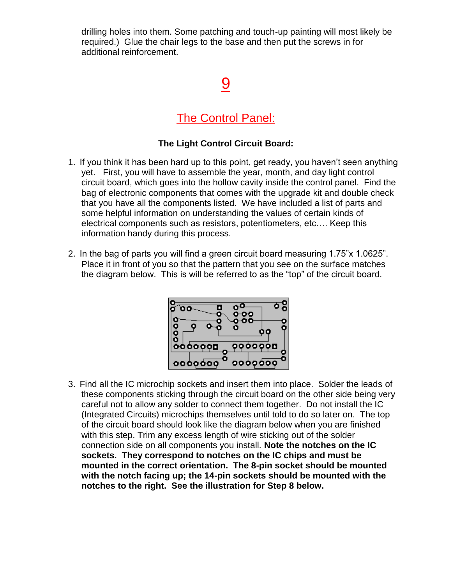drilling holes into them. Some patching and touch-up painting will most likely be required.) Glue the chair legs to the base and then put the screws in for additional reinforcement.

# 9

#### The Control Panel:

#### **The Light Control Circuit Board:**

- 1. If you think it has been hard up to this point, get ready, you haven't seen anything yet. First, you will have to assemble the year, month, and day light control circuit board, which goes into the hollow cavity inside the control panel. Find the bag of electronic components that comes with the upgrade kit and double check that you have all the components listed. We have included a list of parts and some helpful information on understanding the values of certain kinds of electrical components such as resistors, potentiometers, etc…. Keep this information handy during this process.
- 2. In the bag of parts you will find a green circuit board measuring 1.75"x 1.0625". Place it in front of you so that the pattern that you see on the surface matches the diagram below. This is will be referred to as the "top" of the circuit board.



3. Find all the IC microchip sockets and insert them into place. Solder the leads of these components sticking through the circuit board on the other side being very careful not to allow any solder to connect them together. Do not install the IC (Integrated Circuits) microchips themselves until told to do so later on. The top of the circuit board should look like the diagram below when you are finished with this step. Trim any excess length of wire sticking out of the solder connection side on all components you install. **Note the notches on the IC sockets. They correspond to notches on the IC chips and must be mounted in the correct orientation. The 8-pin socket should be mounted with the notch facing up; the 14-pin sockets should be mounted with the notches to the right. See the illustration for Step 8 below.**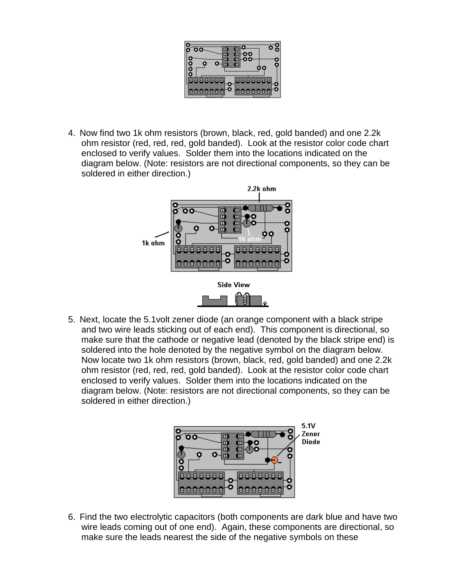

4. Now find two 1k ohm resistors (brown, black, red, gold banded) and one 2.2k ohm resistor (red, red, red, gold banded). Look at the resistor color code chart enclosed to verify values. Solder them into the locations indicated on the diagram below. (Note: resistors are not directional components, so they can be soldered in either direction.)



5. Next, locate the 5.1volt zener diode (an orange component with a black stripe and two wire leads sticking out of each end). This component is directional, so make sure that the cathode or negative lead (denoted by the black stripe end) is soldered into the hole denoted by the negative symbol on the diagram below. Now locate two 1k ohm resistors (brown, black, red, gold banded) and one 2.2k ohm resistor (red, red, red, gold banded). Look at the resistor color code chart enclosed to verify values. Solder them into the locations indicated on the diagram below. (Note: resistors are not directional components, so they can be soldered in either direction.)



6. Find the two electrolytic capacitors (both components are dark blue and have two wire leads coming out of one end). Again, these components are directional, so make sure the leads nearest the side of the negative symbols on these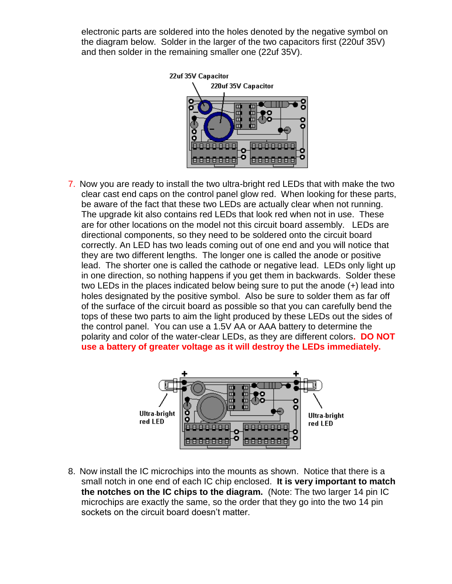electronic parts are soldered into the holes denoted by the negative symbol on the diagram below. Solder in the larger of the two capacitors first (220uf 35V) and then solder in the remaining smaller one (22uf 35V).



7. Now you are ready to install the two ultra-bright red LEDs that with make the two clear cast end caps on the control panel glow red. When looking for these parts, be aware of the fact that these two LEDs are actually clear when not running. The upgrade kit also contains red LEDs that look red when not in use. These are for other locations on the model not this circuit board assembly. LEDs are directional components, so they need to be soldered onto the circuit board correctly. An LED has two leads coming out of one end and you will notice that they are two different lengths. The longer one is called the anode or positive lead. The shorter one is called the cathode or negative lead. LEDs only light up in one direction, so nothing happens if you get them in backwards. Solder these two LEDs in the places indicated below being sure to put the anode (+) lead into holes designated by the positive symbol. Also be sure to solder them as far off of the surface of the circuit board as possible so that you can carefully bend the tops of these two parts to aim the light produced by these LEDs out the sides of the control panel. You can use a 1.5V AA or AAA battery to determine the polarity and color of the water-clear LEDs, as they are different colors**. DO NOT use a battery of greater voltage as it will destroy the LEDs immediately.**



8. Now install the IC microchips into the mounts as shown. Notice that there is a small notch in one end of each IC chip enclosed. **It is very important to match the notches on the IC chips to the diagram.** (Note: The two larger 14 pin IC microchips are exactly the same, so the order that they go into the two 14 pin sockets on the circuit board doesn't matter.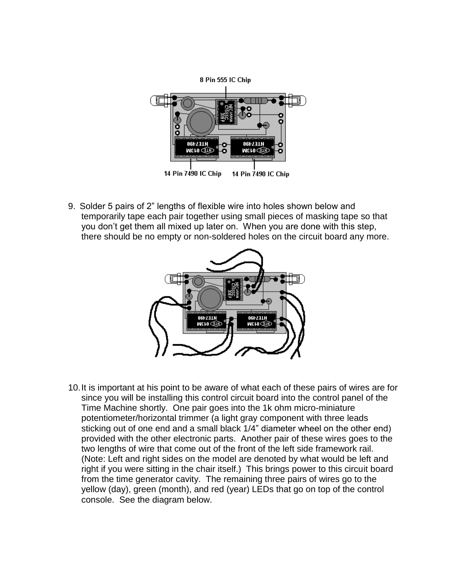

9. Solder 5 pairs of 2" lengths of flexible wire into holes shown below and temporarily tape each pair together using small pieces of masking tape so that you don't get them all mixed up later on. When you are done with this step, there should be no empty or non-soldered holes on the circuit board any more.



10.It is important at his point to be aware of what each of these pairs of wires are for since you will be installing this control circuit board into the control panel of the Time Machine shortly. One pair goes into the 1k ohm micro-miniature potentiometer/horizontal trimmer (a light gray component with three leads sticking out of one end and a small black 1/4" diameter wheel on the other end) provided with the other electronic parts. Another pair of these wires goes to the two lengths of wire that come out of the front of the left side framework rail. (Note: Left and right sides on the model are denoted by what would be left and right if you were sitting in the chair itself.) This brings power to this circuit board from the time generator cavity. The remaining three pairs of wires go to the yellow (day), green (month), and red (year) LEDs that go on top of the control console. See the diagram below.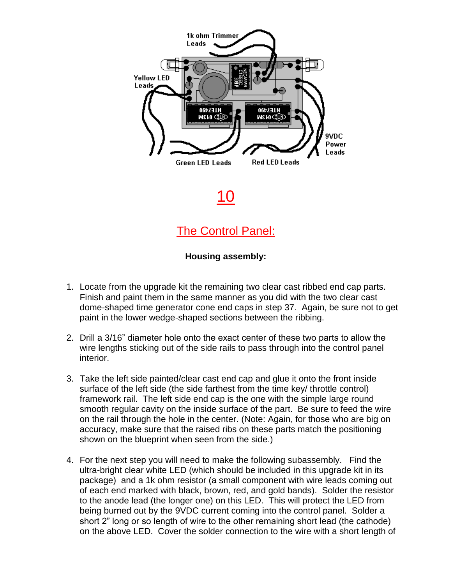

10

The Control Panel:

#### **Housing assembly:**

- 1. Locate from the upgrade kit the remaining two clear cast ribbed end cap parts. Finish and paint them in the same manner as you did with the two clear cast dome-shaped time generator cone end caps in step 37. Again, be sure not to get paint in the lower wedge-shaped sections between the ribbing.
- 2. Drill a 3/16" diameter hole onto the exact center of these two parts to allow the wire lengths sticking out of the side rails to pass through into the control panel interior.
- 3. Take the left side painted/clear cast end cap and glue it onto the front inside surface of the left side (the side farthest from the time key/ throttle control) framework rail. The left side end cap is the one with the simple large round smooth regular cavity on the inside surface of the part. Be sure to feed the wire on the rail through the hole in the center. (Note: Again, for those who are big on accuracy, make sure that the raised ribs on these parts match the positioning shown on the blueprint when seen from the side.)
- 4. For the next step you will need to make the following subassembly. Find the ultra-bright clear white LED (which should be included in this upgrade kit in its package) and a 1k ohm resistor (a small component with wire leads coming out of each end marked with black, brown, red, and gold bands). Solder the resistor to the anode lead (the longer one) on this LED. This will protect the LED from being burned out by the 9VDC current coming into the control panel. Solder a short 2" long or so length of wire to the other remaining short lead (the cathode) on the above LED. Cover the solder connection to the wire with a short length of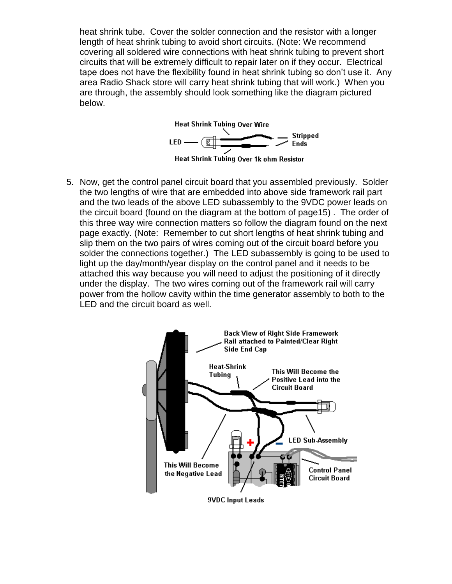heat shrink tube. Cover the solder connection and the resistor with a longer length of heat shrink tubing to avoid short circuits. (Note: We recommend covering all soldered wire connections with heat shrink tubing to prevent short circuits that will be extremely difficult to repair later on if they occur. Electrical tape does not have the flexibility found in heat shrink tubing so don't use it. Any area Radio Shack store will carry heat shrink tubing that will work.) When you are through, the assembly should look something like the diagram pictured below.



5. Now, get the control panel circuit board that you assembled previously. Solder the two lengths of wire that are embedded into above side framework rail part and the two leads of the above LED subassembly to the 9VDC power leads on the circuit board (found on the diagram at the bottom of page15) . The order of this three way wire connection matters so follow the diagram found on the next page exactly. (Note: Remember to cut short lengths of heat shrink tubing and slip them on the two pairs of wires coming out of the circuit board before you solder the connections together.) The LED subassembly is going to be used to light up the day/month/year display on the control panel and it needs to be attached this way because you will need to adjust the positioning of it directly under the display. The two wires coming out of the framework rail will carry power from the hollow cavity within the time generator assembly to both to the LED and the circuit board as well.

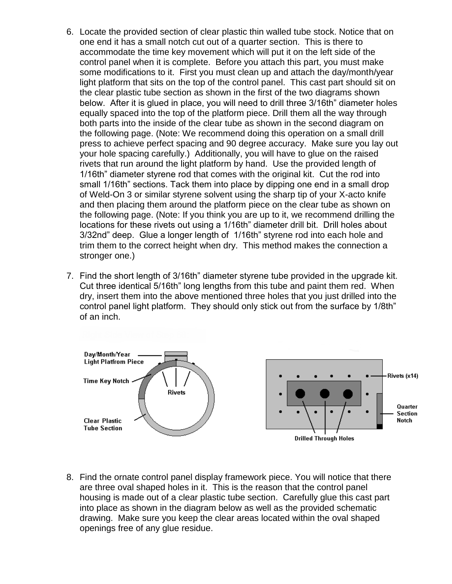- 6. Locate the provided section of clear plastic thin walled tube stock. Notice that on one end it has a small notch cut out of a quarter section. This is there to accommodate the time key movement which will put it on the left side of the control panel when it is complete. Before you attach this part, you must make some modifications to it. First you must clean up and attach the day/month/year light platform that sits on the top of the control panel. This cast part should sit on the clear plastic tube section as shown in the first of the two diagrams shown below. After it is glued in place, you will need to drill three 3/16th" diameter holes equally spaced into the top of the platform piece. Drill them all the way through both parts into the inside of the clear tube as shown in the second diagram on the following page. (Note: We recommend doing this operation on a small drill press to achieve perfect spacing and 90 degree accuracy. Make sure you lay out your hole spacing carefully.) Additionally, you will have to glue on the raised rivets that run around the light platform by hand. Use the provided length of 1/16th" diameter styrene rod that comes with the original kit. Cut the rod into small 1/16th" sections. Tack them into place by dipping one end in a small drop of Weld-On 3 or similar styrene solvent using the sharp tip of your X-acto knife and then placing them around the platform piece on the clear tube as shown on the following page. (Note: If you think you are up to it, we recommend drilling the locations for these rivets out using a 1/16th" diameter drill bit. Drill holes about 3/32nd" deep. Glue a longer length of 1/16th" styrene rod into each hole and trim them to the correct height when dry. This method makes the connection a stronger one.)
- 7. Find the short length of 3/16th" diameter styrene tube provided in the upgrade kit. Cut three identical 5/16th" long lengths from this tube and paint them red. When dry, insert them into the above mentioned three holes that you just drilled into the control panel light platform. They should only stick out from the surface by 1/8th" of an inch.



8. Find the ornate control panel display framework piece. You will notice that there are three oval shaped holes in it. This is the reason that the control panel housing is made out of a clear plastic tube section. Carefully glue this cast part into place as shown in the diagram below as well as the provided schematic drawing. Make sure you keep the clear areas located within the oval shaped openings free of any glue residue.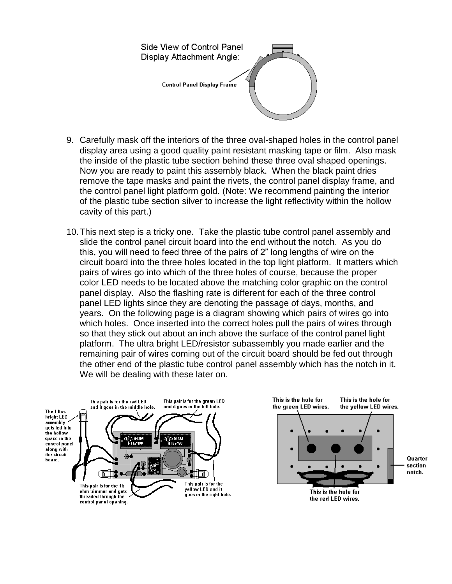

- 9. Carefully mask off the interiors of the three oval-shaped holes in the control panel display area using a good quality paint resistant masking tape or film. Also mask the inside of the plastic tube section behind these three oval shaped openings. Now you are ready to paint this assembly black. When the black paint dries remove the tape masks and paint the rivets, the control panel display frame, and the control panel light platform gold. (Note: We recommend painting the interior of the plastic tube section silver to increase the light reflectivity within the hollow cavity of this part.)
- 10.This next step is a tricky one. Take the plastic tube control panel assembly and slide the control panel circuit board into the end without the notch. As you do this, you will need to feed three of the pairs of 2" long lengths of wire on the circuit board into the three holes located in the top light platform. It matters which pairs of wires go into which of the three holes of course, because the proper color LED needs to be located above the matching color graphic on the control panel display. Also the flashing rate is different for each of the three control panel LED lights since they are denoting the passage of days, months, and years. On the following page is a diagram showing which pairs of wires go into which holes. Once inserted into the correct holes pull the pairs of wires through so that they stick out about an inch above the surface of the control panel light platform. The ultra bright LED/resistor subassembly you made earlier and the remaining pair of wires coming out of the circuit board should be fed out through the other end of the plastic tube control panel assembly which has the notch in it. We will be dealing with these later on.

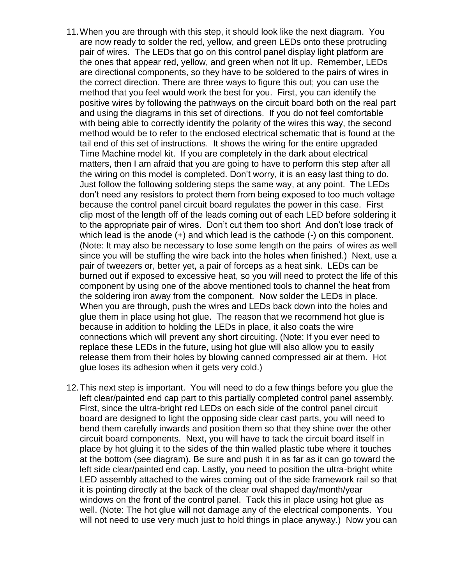- 11.When you are through with this step, it should look like the next diagram. You are now ready to solder the red, yellow, and green LEDs onto these protruding pair of wires. The LEDs that go on this control panel display light platform are the ones that appear red, yellow, and green when not lit up. Remember, LEDs are directional components, so they have to be soldered to the pairs of wires in the correct direction. There are three ways to figure this out; you can use the method that you feel would work the best for you. First, you can identify the positive wires by following the pathways on the circuit board both on the real part and using the diagrams in this set of directions. If you do not feel comfortable with being able to correctly identify the polarity of the wires this way, the second method would be to refer to the enclosed electrical schematic that is found at the tail end of this set of instructions. It shows the wiring for the entire upgraded Time Machine model kit. If you are completely in the dark about electrical matters, then I am afraid that you are going to have to perform this step after all the wiring on this model is completed. Don't worry, it is an easy last thing to do. Just follow the following soldering steps the same way, at any point. The LEDs don't need any resistors to protect them from being exposed to too much voltage because the control panel circuit board regulates the power in this case. First clip most of the length off of the leads coming out of each LED before soldering it to the appropriate pair of wires. Don't cut them too short And don't lose track of which lead is the anode (+) and which lead is the cathode (-) on this component. (Note: It may also be necessary to lose some length on the pairs of wires as well since you will be stuffing the wire back into the holes when finished.) Next, use a pair of tweezers or, better yet, a pair of forceps as a heat sink. LEDs can be burned out if exposed to excessive heat, so you will need to protect the life of this component by using one of the above mentioned tools to channel the heat from the soldering iron away from the component. Now solder the LEDs in place. When you are through, push the wires and LEDs back down into the holes and glue them in place using hot glue. The reason that we recommend hot glue is because in addition to holding the LEDs in place, it also coats the wire connections which will prevent any short circuiting. (Note: If you ever need to replace these LEDs in the future, using hot glue will also allow you to easily release them from their holes by blowing canned compressed air at them. Hot glue loses its adhesion when it gets very cold.)
- 12.This next step is important. You will need to do a few things before you glue the left clear/painted end cap part to this partially completed control panel assembly. First, since the ultra-bright red LEDs on each side of the control panel circuit board are designed to light the opposing side clear cast parts, you will need to bend them carefully inwards and position them so that they shine over the other circuit board components. Next, you will have to tack the circuit board itself in place by hot gluing it to the sides of the thin walled plastic tube where it touches at the bottom (see diagram). Be sure and push it in as far as it can go toward the left side clear/painted end cap. Lastly, you need to position the ultra-bright white LED assembly attached to the wires coming out of the side framework rail so that it is pointing directly at the back of the clear oval shaped day/month/year windows on the front of the control panel. Tack this in place using hot glue as well. (Note: The hot glue will not damage any of the electrical components. You will not need to use very much just to hold things in place anyway.) Now you can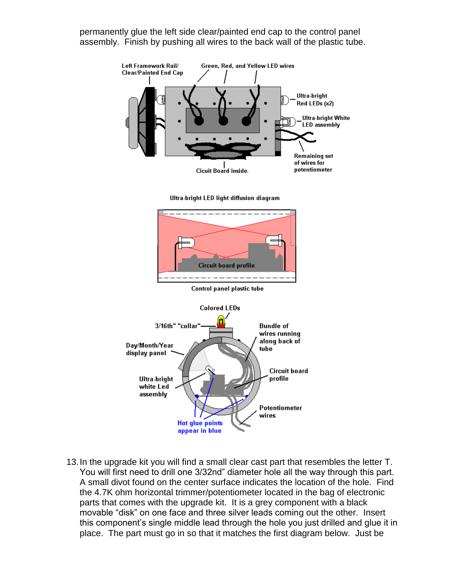permanently glue the left side clear/painted end cap to the control panel assembly. Finish by pushing all wires to the back wall of the plastic tube.



13.In the upgrade kit you will find a small clear cast part that resembles the letter T. You will first need to drill one 3/32nd" diameter hole all the way through this part. A small divot found on the center surface indicates the location of the hole. Find the 4.7K ohm horizontal trimmer/potentiometer located in the bag of electronic parts that comes with the upgrade kit. It is a grey component with a black movable "disk" on one face and three silver leads coming out the other. Insert this component's single middle lead through the hole you just drilled and glue it in place. The part must go in so that it matches the first diagram below. Just be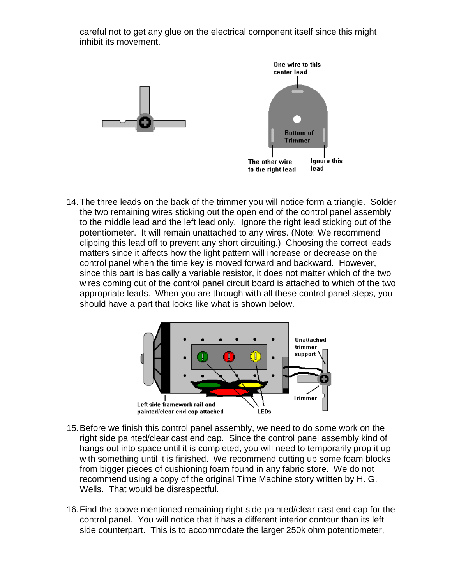careful not to get any glue on the electrical component itself since this might inhibit its movement.





14.The three leads on the back of the trimmer you will notice form a triangle. Solder the two remaining wires sticking out the open end of the control panel assembly to the middle lead and the left lead only. Ignore the right lead sticking out of the potentiometer. It will remain unattached to any wires. (Note: We recommend clipping this lead off to prevent any short circuiting.) Choosing the correct leads matters since it affects how the light pattern will increase or decrease on the control panel when the time key is moved forward and backward. However, since this part is basically a variable resistor, it does not matter which of the two wires coming out of the control panel circuit board is attached to which of the two appropriate leads. When you are through with all these control panel steps, you should have a part that looks like what is shown below.



- 15.Before we finish this control panel assembly, we need to do some work on the right side painted/clear cast end cap. Since the control panel assembly kind of hangs out into space until it is completed, you will need to temporarily prop it up with something until it is finished. We recommend cutting up some foam blocks from bigger pieces of cushioning foam found in any fabric store. We do not recommend using a copy of the original Time Machine story written by H. G. Wells. That would be disrespectful.
- 16.Find the above mentioned remaining right side painted/clear cast end cap for the control panel. You will notice that it has a different interior contour than its left side counterpart. This is to accommodate the larger 250k ohm potentiometer,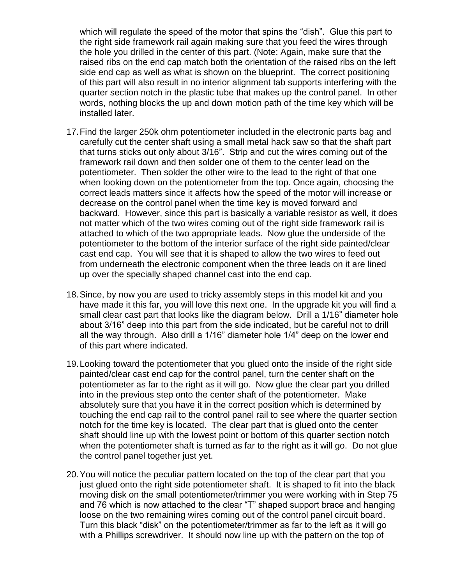which will regulate the speed of the motor that spins the "dish". Glue this part to the right side framework rail again making sure that you feed the wires through the hole you drilled in the center of this part. (Note: Again, make sure that the raised ribs on the end cap match both the orientation of the raised ribs on the left side end cap as well as what is shown on the blueprint. The correct positioning of this part will also result in no interior alignment tab supports interfering with the quarter section notch in the plastic tube that makes up the control panel. In other words, nothing blocks the up and down motion path of the time key which will be installed later.

- 17.Find the larger 250k ohm potentiometer included in the electronic parts bag and carefully cut the center shaft using a small metal hack saw so that the shaft part that turns sticks out only about 3/16". Strip and cut the wires coming out of the framework rail down and then solder one of them to the center lead on the potentiometer. Then solder the other wire to the lead to the right of that one when looking down on the potentiometer from the top. Once again, choosing the correct leads matters since it affects how the speed of the motor will increase or decrease on the control panel when the time key is moved forward and backward. However, since this part is basically a variable resistor as well, it does not matter which of the two wires coming out of the right side framework rail is attached to which of the two appropriate leads. Now glue the underside of the potentiometer to the bottom of the interior surface of the right side painted/clear cast end cap. You will see that it is shaped to allow the two wires to feed out from underneath the electronic component when the three leads on it are lined up over the specially shaped channel cast into the end cap.
- 18.Since, by now you are used to tricky assembly steps in this model kit and you have made it this far, you will love this next one. In the upgrade kit you will find a small clear cast part that looks like the diagram below. Drill a 1/16" diameter hole about 3/16" deep into this part from the side indicated, but be careful not to drill all the way through. Also drill a 1/16" diameter hole 1/4" deep on the lower end of this part where indicated.
- 19.Looking toward the potentiometer that you glued onto the inside of the right side painted/clear cast end cap for the control panel, turn the center shaft on the potentiometer as far to the right as it will go. Now glue the clear part you drilled into in the previous step onto the center shaft of the potentiometer. Make absolutely sure that you have it in the correct position which is determined by touching the end cap rail to the control panel rail to see where the quarter section notch for the time key is located. The clear part that is glued onto the center shaft should line up with the lowest point or bottom of this quarter section notch when the potentiometer shaft is turned as far to the right as it will go. Do not glue the control panel together just yet.
- 20.You will notice the peculiar pattern located on the top of the clear part that you just glued onto the right side potentiometer shaft. It is shaped to fit into the black moving disk on the small potentiometer/trimmer you were working with in Step 75 and 76 which is now attached to the clear "T" shaped support brace and hanging loose on the two remaining wires coming out of the control panel circuit board. Turn this black "disk" on the potentiometer/trimmer as far to the left as it will go with a Phillips screwdriver. It should now line up with the pattern on the top of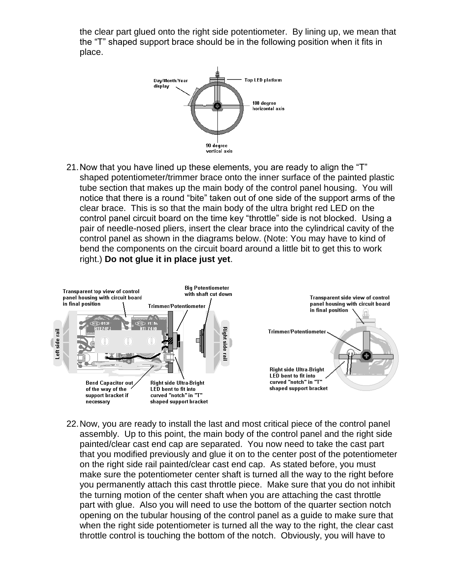the clear part glued onto the right side potentiometer. By lining up, we mean that the "T" shaped support brace should be in the following position when it fits in place.



21.Now that you have lined up these elements, you are ready to align the "T" shaped potentiometer/trimmer brace onto the inner surface of the painted plastic tube section that makes up the main body of the control panel housing. You will notice that there is a round "bite" taken out of one side of the support arms of the clear brace. This is so that the main body of the ultra bright red LED on the control panel circuit board on the time key "throttle" side is not blocked. Using a pair of needle-nosed pliers, insert the clear brace into the cylindrical cavity of the control panel as shown in the diagrams below. (Note: You may have to kind of bend the components on the circuit board around a little bit to get this to work right.) **Do not glue it in place just yet**.



22.Now, you are ready to install the last and most critical piece of the control panel assembly. Up to this point, the main body of the control panel and the right side painted/clear cast end cap are separated. You now need to take the cast part that you modified previously and glue it on to the center post of the potentiometer on the right side rail painted/clear cast end cap. As stated before, you must make sure the potentiometer center shaft is turned all the way to the right before you permanently attach this cast throttle piece. Make sure that you do not inhibit the turning motion of the center shaft when you are attaching the cast throttle part with glue. Also you will need to use the bottom of the quarter section notch opening on the tubular housing of the control panel as a guide to make sure that when the right side potentiometer is turned all the way to the right, the clear cast throttle control is touching the bottom of the notch. Obviously, you will have to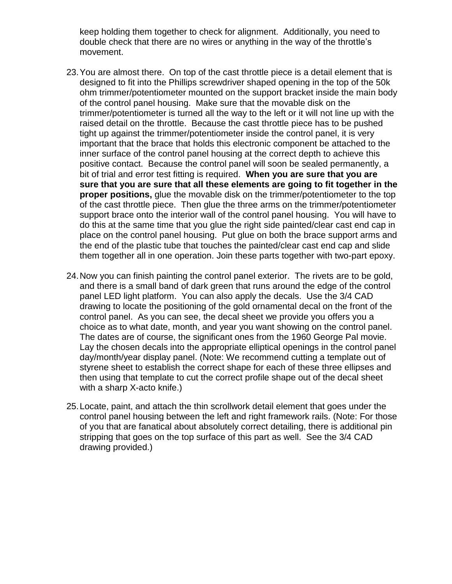keep holding them together to check for alignment. Additionally, you need to double check that there are no wires or anything in the way of the throttle's movement.

- 23.You are almost there. On top of the cast throttle piece is a detail element that is designed to fit into the Phillips screwdriver shaped opening in the top of the 50k ohm trimmer/potentiometer mounted on the support bracket inside the main body of the control panel housing. Make sure that the movable disk on the trimmer/potentiometer is turned all the way to the left or it will not line up with the raised detail on the throttle. Because the cast throttle piece has to be pushed tight up against the trimmer/potentiometer inside the control panel, it is very important that the brace that holds this electronic component be attached to the inner surface of the control panel housing at the correct depth to achieve this positive contact. Because the control panel will soon be sealed permanently, a bit of trial and error test fitting is required. **When you are sure that you are sure that you are sure that all these elements are going to fit together in the proper positions,** glue the movable disk on the trimmer/potentiometer to the top of the cast throttle piece. Then glue the three arms on the trimmer/potentiometer support brace onto the interior wall of the control panel housing. You will have to do this at the same time that you glue the right side painted/clear cast end cap in place on the control panel housing. Put glue on both the brace support arms and the end of the plastic tube that touches the painted/clear cast end cap and slide them together all in one operation. Join these parts together with two-part epoxy.
- 24.Now you can finish painting the control panel exterior. The rivets are to be gold, and there is a small band of dark green that runs around the edge of the control panel LED light platform. You can also apply the decals. Use the 3/4 CAD drawing to locate the positioning of the gold ornamental decal on the front of the control panel. As you can see, the decal sheet we provide you offers you a choice as to what date, month, and year you want showing on the control panel. The dates are of course, the significant ones from the 1960 George Pal movie. Lay the chosen decals into the appropriate elliptical openings in the control panel day/month/year display panel. (Note: We recommend cutting a template out of styrene sheet to establish the correct shape for each of these three ellipses and then using that template to cut the correct profile shape out of the decal sheet with a sharp X-acto knife.)
- 25.Locate, paint, and attach the thin scrollwork detail element that goes under the control panel housing between the left and right framework rails. (Note: For those of you that are fanatical about absolutely correct detailing, there is additional pin stripping that goes on the top surface of this part as well. See the 3/4 CAD drawing provided.)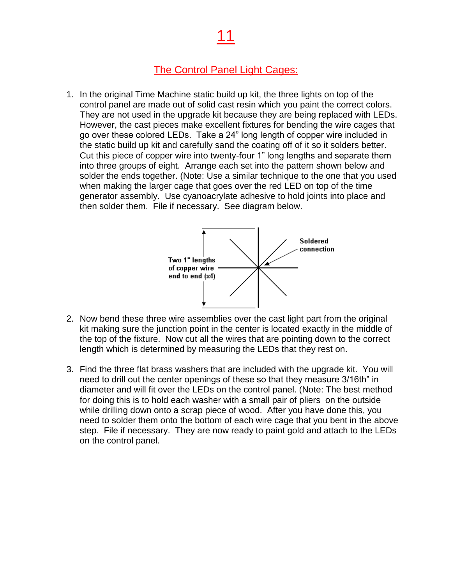## 11

#### The Control Panel Light Cages:

1. In the original Time Machine static build up kit, the three lights on top of the control panel are made out of solid cast resin which you paint the correct colors. They are not used in the upgrade kit because they are being replaced with LEDs. However, the cast pieces make excellent fixtures for bending the wire cages that go over these colored LEDs. Take a 24" long length of copper wire included in the static build up kit and carefully sand the coating off of it so it solders better. Cut this piece of copper wire into twenty-four 1" long lengths and separate them into three groups of eight. Arrange each set into the pattern shown below and solder the ends together. (Note: Use a similar technique to the one that you used when making the larger cage that goes over the red LED on top of the time generator assembly. Use cyanoacrylate adhesive to hold joints into place and then solder them. File if necessary. See diagram below.



- 2. Now bend these three wire assemblies over the cast light part from the original kit making sure the junction point in the center is located exactly in the middle of the top of the fixture. Now cut all the wires that are pointing down to the correct length which is determined by measuring the LEDs that they rest on.
- 3. Find the three flat brass washers that are included with the upgrade kit. You will need to drill out the center openings of these so that they measure 3/16th" in diameter and will fit over the LEDs on the control panel. (Note: The best method for doing this is to hold each washer with a small pair of pliers on the outside while drilling down onto a scrap piece of wood. After you have done this, you need to solder them onto the bottom of each wire cage that you bent in the above step. File if necessary. They are now ready to paint gold and attach to the LEDs on the control panel.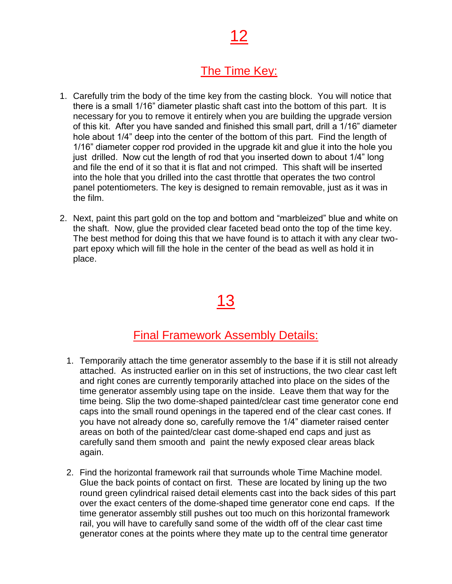# 12

### The Time Key:

- 1. Carefully trim the body of the time key from the casting block. You will notice that there is a small 1/16" diameter plastic shaft cast into the bottom of this part. It is necessary for you to remove it entirely when you are building the upgrade version of this kit. After you have sanded and finished this small part, drill a 1/16" diameter hole about 1/4" deep into the center of the bottom of this part. Find the length of 1/16" diameter copper rod provided in the upgrade kit and glue it into the hole you just drilled. Now cut the length of rod that you inserted down to about 1/4" long and file the end of it so that it is flat and not crimped. This shaft will be inserted into the hole that you drilled into the cast throttle that operates the two control panel potentiometers. The key is designed to remain removable, just as it was in the film.
- 2. Next, paint this part gold on the top and bottom and "marbleized" blue and white on the shaft. Now, glue the provided clear faceted bead onto the top of the time key. The best method for doing this that we have found is to attach it with any clear twopart epoxy which will fill the hole in the center of the bead as well as hold it in place.

# 13

#### Final Framework Assembly Details:

- 1. Temporarily attach the time generator assembly to the base if it is still not already attached. As instructed earlier on in this set of instructions, the two clear cast left and right cones are currently temporarily attached into place on the sides of the time generator assembly using tape on the inside. Leave them that way for the time being. Slip the two dome-shaped painted/clear cast time generator cone end caps into the small round openings in the tapered end of the clear cast cones. If you have not already done so, carefully remove the 1/4" diameter raised center areas on both of the painted/clear cast dome-shaped end caps and just as carefully sand them smooth and paint the newly exposed clear areas black again.
- 2. Find the horizontal framework rail that surrounds whole Time Machine model. Glue the back points of contact on first. These are located by lining up the two round green cylindrical raised detail elements cast into the back sides of this part over the exact centers of the dome-shaped time generator cone end caps. If the time generator assembly still pushes out too much on this horizontal framework rail, you will have to carefully sand some of the width off of the clear cast time generator cones at the points where they mate up to the central time generator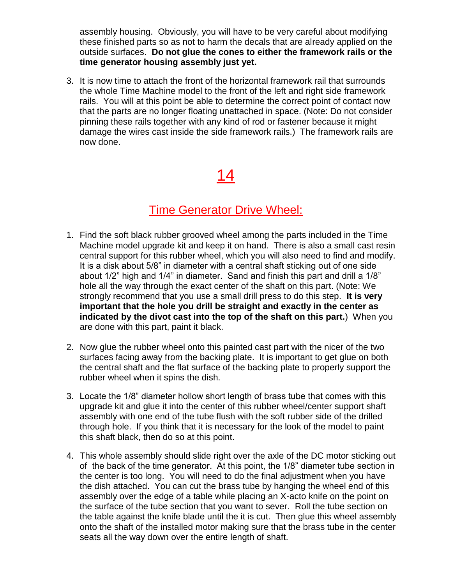assembly housing. Obviously, you will have to be very careful about modifying these finished parts so as not to harm the decals that are already applied on the outside surfaces. **Do not glue the cones to either the framework rails or the time generator housing assembly just yet.**

3. It is now time to attach the front of the horizontal framework rail that surrounds the whole Time Machine model to the front of the left and right side framework rails. You will at this point be able to determine the correct point of contact now that the parts are no longer floating unattached in space. (Note: Do not consider pinning these rails together with any kind of rod or fastener because it might damage the wires cast inside the side framework rails.) The framework rails are now done.

# 14

#### Time Generator Drive Wheel:

- 1. Find the soft black rubber grooved wheel among the parts included in the Time Machine model upgrade kit and keep it on hand. There is also a small cast resin central support for this rubber wheel, which you will also need to find and modify. It is a disk about 5/8" in diameter with a central shaft sticking out of one side about 1/2" high and 1/4" in diameter. Sand and finish this part and drill a 1/8" hole all the way through the exact center of the shaft on this part. (Note: We strongly recommend that you use a small drill press to do this step. **It is very important that the hole you drill be straight and exactly in the center as indicated by the divot cast into the top of the shaft on this part.**) When you are done with this part, paint it black.
- 2. Now glue the rubber wheel onto this painted cast part with the nicer of the two surfaces facing away from the backing plate. It is important to get glue on both the central shaft and the flat surface of the backing plate to properly support the rubber wheel when it spins the dish.
- 3. Locate the 1/8" diameter hollow short length of brass tube that comes with this upgrade kit and glue it into the center of this rubber wheel/center support shaft assembly with one end of the tube flush with the soft rubber side of the drilled through hole. If you think that it is necessary for the look of the model to paint this shaft black, then do so at this point.
- 4. This whole assembly should slide right over the axle of the DC motor sticking out of the back of the time generator. At this point, the 1/8" diameter tube section in the center is too long. You will need to do the final adjustment when you have the dish attached. You can cut the brass tube by hanging the wheel end of this assembly over the edge of a table while placing an X-acto knife on the point on the surface of the tube section that you want to sever. Roll the tube section on the table against the knife blade until the it is cut. Then glue this wheel assembly onto the shaft of the installed motor making sure that the brass tube in the center seats all the way down over the entire length of shaft.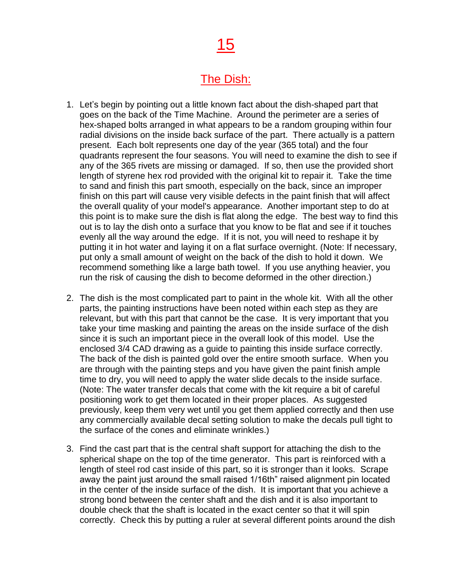# 15

#### The Dish:

- 1. Let's begin by pointing out a little known fact about the dish-shaped part that goes on the back of the Time Machine. Around the perimeter are a series of hex-shaped bolts arranged in what appears to be a random grouping within four radial divisions on the inside back surface of the part. There actually is a pattern present. Each bolt represents one day of the year (365 total) and the four quadrants represent the four seasons. You will need to examine the dish to see if any of the 365 rivets are missing or damaged. If so, then use the provided short length of styrene hex rod provided with the original kit to repair it. Take the time to sand and finish this part smooth, especially on the back, since an improper finish on this part will cause very visible defects in the paint finish that will affect the overall quality of your model's appearance. Another important step to do at this point is to make sure the dish is flat along the edge. The best way to find this out is to lay the dish onto a surface that you know to be flat and see if it touches evenly all the way around the edge. If it is not, you will need to reshape it by putting it in hot water and laying it on a flat surface overnight. (Note: If necessary, put only a small amount of weight on the back of the dish to hold it down. We recommend something like a large bath towel. If you use anything heavier, you run the risk of causing the dish to become deformed in the other direction.)
- 2. The dish is the most complicated part to paint in the whole kit. With all the other parts, the painting instructions have been noted within each step as they are relevant, but with this part that cannot be the case. It is very important that you take your time masking and painting the areas on the inside surface of the dish since it is such an important piece in the overall look of this model. Use the enclosed 3/4 CAD drawing as a guide to painting this inside surface correctly. The back of the dish is painted gold over the entire smooth surface. When you are through with the painting steps and you have given the paint finish ample time to dry, you will need to apply the water slide decals to the inside surface. (Note: The water transfer decals that come with the kit require a bit of careful positioning work to get them located in their proper places. As suggested previously, keep them very wet until you get them applied correctly and then use any commercially available decal setting solution to make the decals pull tight to the surface of the cones and eliminate wrinkles.)
- 3. Find the cast part that is the central shaft support for attaching the dish to the spherical shape on the top of the time generator. This part is reinforced with a length of steel rod cast inside of this part, so it is stronger than it looks. Scrape away the paint just around the small raised 1/16th" raised alignment pin located in the center of the inside surface of the dish. It is important that you achieve a strong bond between the center shaft and the dish and it is also important to double check that the shaft is located in the exact center so that it will spin correctly. Check this by putting a ruler at several different points around the dish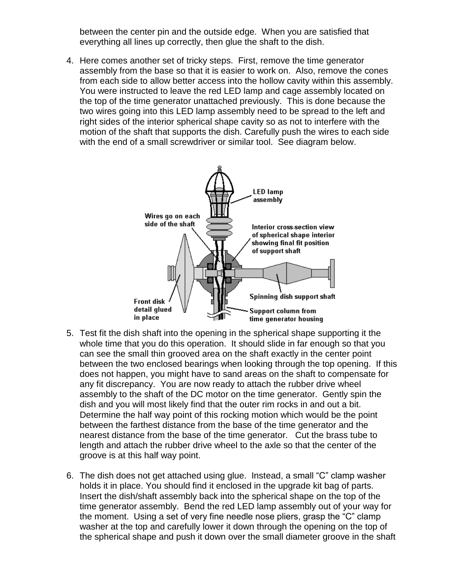between the center pin and the outside edge. When you are satisfied that everything all lines up correctly, then glue the shaft to the dish.

4. Here comes another set of tricky steps. First, remove the time generator assembly from the base so that it is easier to work on. Also, remove the cones from each side to allow better access into the hollow cavity within this assembly. You were instructed to leave the red LED lamp and cage assembly located on the top of the time generator unattached previously. This is done because the two wires going into this LED lamp assembly need to be spread to the left and right sides of the interior spherical shape cavity so as not to interfere with the motion of the shaft that supports the dish. Carefully push the wires to each side with the end of a small screwdriver or similar tool. See diagram below.



- 5. Test fit the dish shaft into the opening in the spherical shape supporting it the whole time that you do this operation. It should slide in far enough so that you can see the small thin grooved area on the shaft exactly in the center point between the two enclosed bearings when looking through the top opening. If this does not happen, you might have to sand areas on the shaft to compensate for any fit discrepancy. You are now ready to attach the rubber drive wheel assembly to the shaft of the DC motor on the time generator. Gently spin the dish and you will most likely find that the outer rim rocks in and out a bit. Determine the half way point of this rocking motion which would be the point between the farthest distance from the base of the time generator and the nearest distance from the base of the time generator. Cut the brass tube to length and attach the rubber drive wheel to the axle so that the center of the groove is at this half way point.
- 6. The dish does not get attached using glue. Instead, a small "C" clamp washer holds it in place. You should find it enclosed in the upgrade kit bag of parts. Insert the dish/shaft assembly back into the spherical shape on the top of the time generator assembly. Bend the red LED lamp assembly out of your way for the moment. Using a set of very fine needle nose pliers, grasp the "C" clamp washer at the top and carefully lower it down through the opening on the top of the spherical shape and push it down over the small diameter groove in the shaft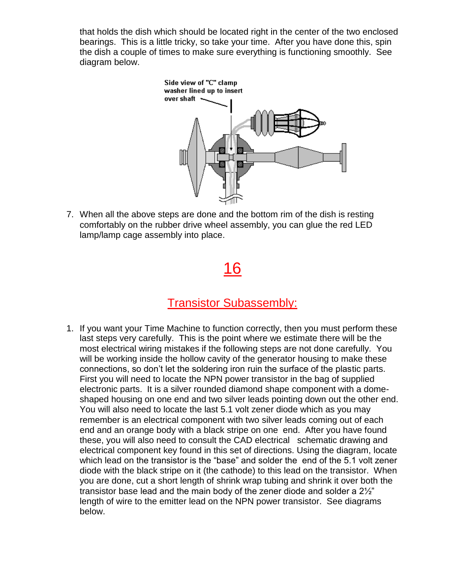that holds the dish which should be located right in the center of the two enclosed bearings. This is a little tricky, so take your time. After you have done this, spin the dish a couple of times to make sure everything is functioning smoothly. See diagram below.



7. When all the above steps are done and the bottom rim of the dish is resting comfortably on the rubber drive wheel assembly, you can glue the red LED lamp/lamp cage assembly into place.

# 16

#### Transistor Subassembly:

1. If you want your Time Machine to function correctly, then you must perform these last steps very carefully. This is the point where we estimate there will be the most electrical wiring mistakes if the following steps are not done carefully. You will be working inside the hollow cavity of the generator housing to make these connections, so don't let the soldering iron ruin the surface of the plastic parts. First you will need to locate the NPN power transistor in the bag of supplied electronic parts. It is a silver rounded diamond shape component with a domeshaped housing on one end and two silver leads pointing down out the other end. You will also need to locate the last 5.1 volt zener diode which as you may remember is an electrical component with two silver leads coming out of each end and an orange body with a black stripe on one end. After you have found these, you will also need to consult the CAD electrical schematic drawing and electrical component key found in this set of directions. Using the diagram, locate which lead on the transistor is the "base" and solder the end of the 5.1 volt zener diode with the black stripe on it (the cathode) to this lead on the transistor. When you are done, cut a short length of shrink wrap tubing and shrink it over both the transistor base lead and the main body of the zener diode and solder a 2½" length of wire to the emitter lead on the NPN power transistor. See diagrams below.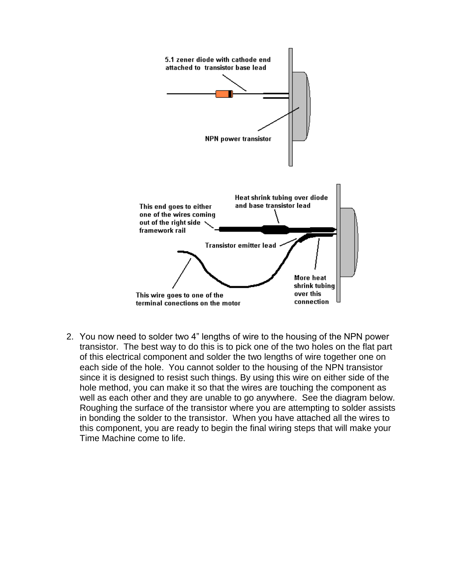

2. You now need to solder two 4" lengths of wire to the housing of the NPN power transistor. The best way to do this is to pick one of the two holes on the flat part of this electrical component and solder the two lengths of wire together one on each side of the hole. You cannot solder to the housing of the NPN transistor since it is designed to resist such things. By using this wire on either side of the hole method, you can make it so that the wires are touching the component as well as each other and they are unable to go anywhere. See the diagram below. Roughing the surface of the transistor where you are attempting to solder assists in bonding the solder to the transistor. When you have attached all the wires to this component, you are ready to begin the final wiring steps that will make your Time Machine come to life.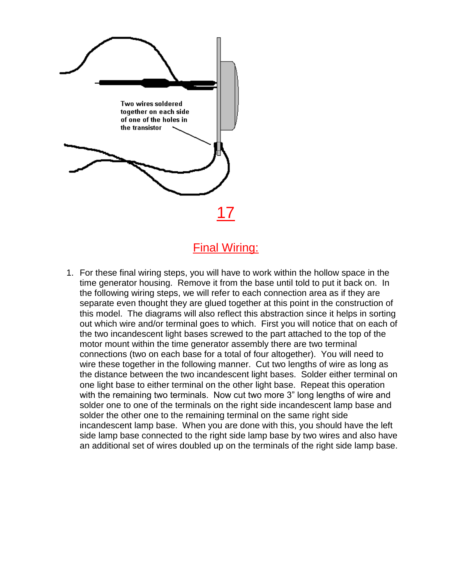

### Final Wiring:

1. For these final wiring steps, you will have to work within the hollow space in the time generator housing. Remove it from the base until told to put it back on. In the following wiring steps, we will refer to each connection area as if they are separate even thought they are glued together at this point in the construction of this model. The diagrams will also reflect this abstraction since it helps in sorting out which wire and/or terminal goes to which. First you will notice that on each of the two incandescent light bases screwed to the part attached to the top of the motor mount within the time generator assembly there are two terminal connections (two on each base for a total of four altogether). You will need to wire these together in the following manner. Cut two lengths of wire as long as the distance between the two incandescent light bases. Solder either terminal on one light base to either terminal on the other light base. Repeat this operation with the remaining two terminals. Now cut two more 3" long lengths of wire and solder one to one of the terminals on the right side incandescent lamp base and solder the other one to the remaining terminal on the same right side incandescent lamp base. When you are done with this, you should have the left side lamp base connected to the right side lamp base by two wires and also have an additional set of wires doubled up on the terminals of the right side lamp base.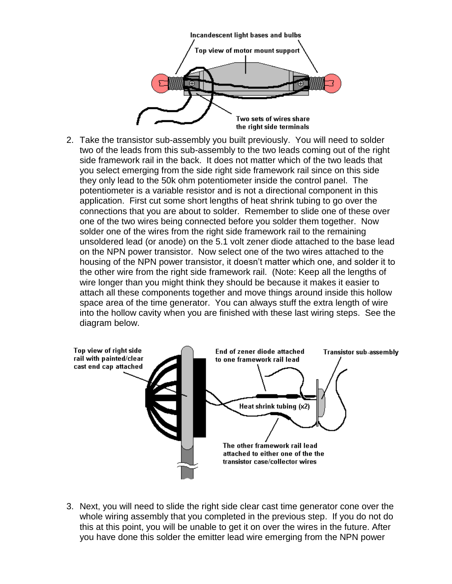

2. Take the transistor sub-assembly you built previously. You will need to solder two of the leads from this sub-assembly to the two leads coming out of the right side framework rail in the back. It does not matter which of the two leads that you select emerging from the side right side framework rail since on this side they only lead to the 50k ohm potentiometer inside the control panel. The potentiometer is a variable resistor and is not a directional component in this application. First cut some short lengths of heat shrink tubing to go over the connections that you are about to solder. Remember to slide one of these over one of the two wires being connected before you solder them together. Now solder one of the wires from the right side framework rail to the remaining unsoldered lead (or anode) on the 5.1 volt zener diode attached to the base lead on the NPN power transistor. Now select one of the two wires attached to the housing of the NPN power transistor, it doesn't matter which one, and solder it to the other wire from the right side framework rail. (Note: Keep all the lengths of wire longer than you might think they should be because it makes it easier to attach all these components together and move things around inside this hollow space area of the time generator. You can always stuff the extra length of wire into the hollow cavity when you are finished with these last wiring steps. See the diagram below.



3. Next, you will need to slide the right side clear cast time generator cone over the whole wiring assembly that you completed in the previous step. If you do not do this at this point, you will be unable to get it on over the wires in the future. After you have done this solder the emitter lead wire emerging from the NPN power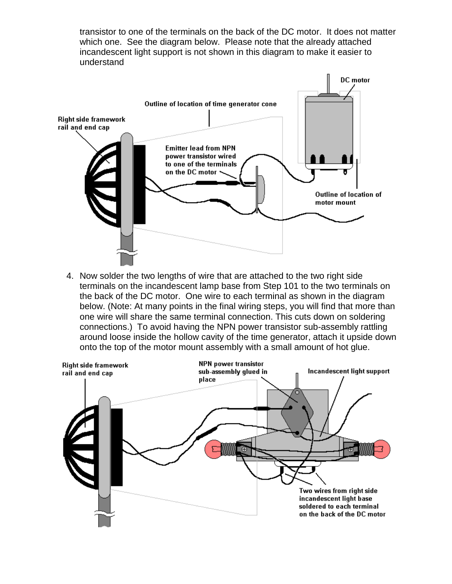transistor to one of the terminals on the back of the DC motor. It does not matter which one. See the diagram below. Please note that the already attached incandescent light support is not shown in this diagram to make it easier to understand



4. Now solder the two lengths of wire that are attached to the two right side terminals on the incandescent lamp base from Step 101 to the two terminals on the back of the DC motor. One wire to each terminal as shown in the diagram below. (Note: At many points in the final wiring steps, you will find that more than one wire will share the same terminal connection. This cuts down on soldering connections.) To avoid having the NPN power transistor sub-assembly rattling around loose inside the hollow cavity of the time generator, attach it upside down onto the top of the motor mount assembly with a small amount of hot glue.

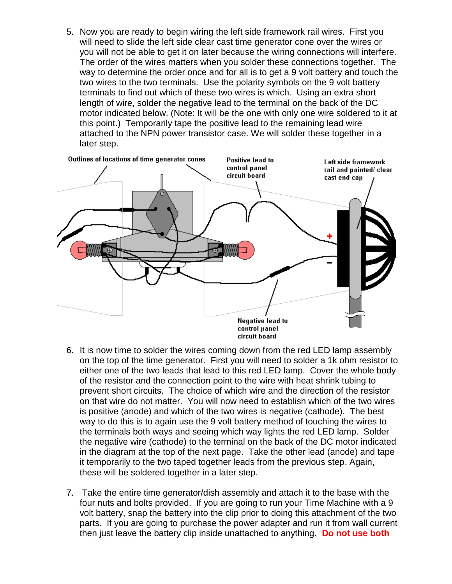5. Now you are ready to begin wiring the left side framework rail wires. First you will need to slide the left side clear cast time generator cone over the wires or you will not be able to get it on later because the wiring connections will interfere. The order of the wires matters when you solder these connections together. The way to determine the order once and for all is to get a 9 volt battery and touch the two wires to the two terminals. Use the polarity symbols on the 9 volt battery terminals to find out which of these two wires is which. Using an extra short length of wire, solder the negative lead to the terminal on the back of the DC motor indicated below. (Note: It will be the one with only one wire soldered to it at this point.) Temporarily tape the positive lead to the remaining lead wire attached to the NPN power transistor case. We will solder these together in a later step.



- 6. It is now time to solder the wires coming down from the red LED lamp assembly on the top of the time generator. First you will need to solder a 1k ohm resistor to either one of the two leads that lead to this red LED lamp. Cover the whole body of the resistor and the connection point to the wire with heat shrink tubing to prevent short circuits. The choice of which wire and the direction of the resistor on that wire do not matter. You will now need to establish which of the two wires is positive (anode) and which of the two wires is negative (cathode). The best way to do this is to again use the 9 volt battery method of touching the wires to the terminals both ways and seeing which way lights the red LED lamp. Solder the negative wire (cathode) to the terminal on the back of the DC motor indicated in the diagram at the top of the next page. Take the other lead (anode) and tape it temporarily to the two taped together leads from the previous step. Again, these will be soldered together in a later step.
- 7. Take the entire time generator/dish assembly and attach it to the base with the four nuts and bolts provided. If you are going to run your Time Machine with a 9 volt battery, snap the battery into the clip prior to doing this attachment of the two parts. If you are going to purchase the power adapter and run it from wall current then just leave the battery clip inside unattached to anything. **Do not use both**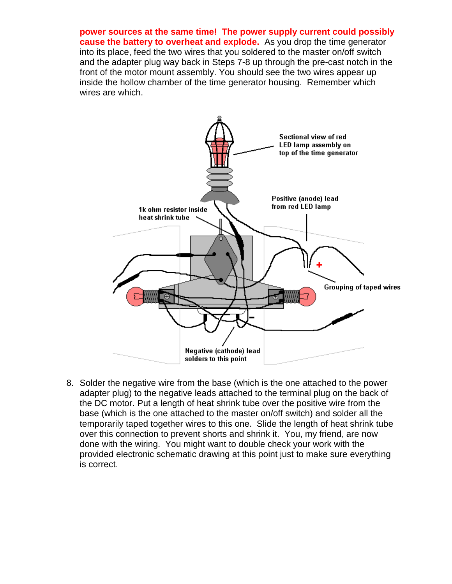**power sources at the same time! The power supply current could possibly cause the battery to overheat and explode.** As you drop the time generator into its place, feed the two wires that you soldered to the master on/off switch and the adapter plug way back in Steps 7-8 up through the pre-cast notch in the front of the motor mount assembly. You should see the two wires appear up inside the hollow chamber of the time generator housing. Remember which wires are which.



8. Solder the negative wire from the base (which is the one attached to the power adapter plug) to the negative leads attached to the terminal plug on the back of the DC motor. Put a length of heat shrink tube over the positive wire from the base (which is the one attached to the master on/off switch) and solder all the temporarily taped together wires to this one. Slide the length of heat shrink tube over this connection to prevent shorts and shrink it. You, my friend, are now done with the wiring. You might want to double check your work with the provided electronic schematic drawing at this point just to make sure everything is correct.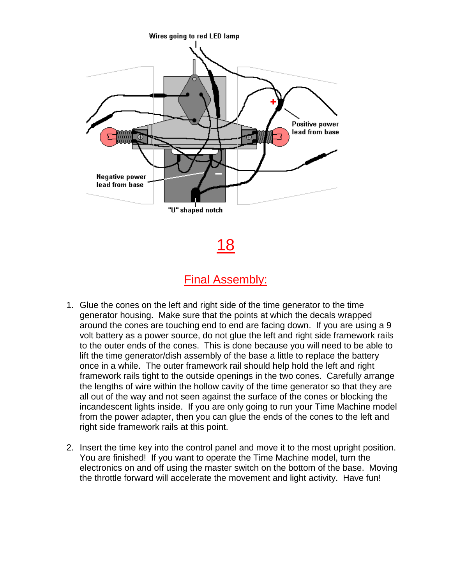

18

### Final Assembly:

- 1. Glue the cones on the left and right side of the time generator to the time generator housing. Make sure that the points at which the decals wrapped around the cones are touching end to end are facing down. If you are using a 9 volt battery as a power source, do not glue the left and right side framework rails to the outer ends of the cones. This is done because you will need to be able to lift the time generator/dish assembly of the base a little to replace the battery once in a while. The outer framework rail should help hold the left and right framework rails tight to the outside openings in the two cones. Carefully arrange the lengths of wire within the hollow cavity of the time generator so that they are all out of the way and not seen against the surface of the cones or blocking the incandescent lights inside. If you are only going to run your Time Machine model from the power adapter, then you can glue the ends of the cones to the left and right side framework rails at this point.
- 2. Insert the time key into the control panel and move it to the most upright position. You are finished! If you want to operate the Time Machine model, turn the electronics on and off using the master switch on the bottom of the base. Moving the throttle forward will accelerate the movement and light activity. Have fun!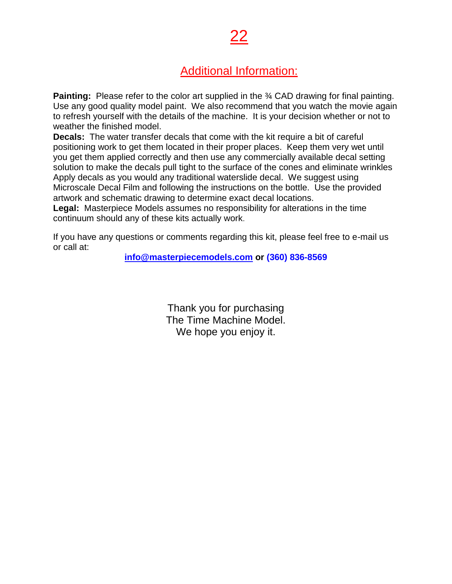## Additional Information:

22

**Painting:** Please refer to the color art supplied in the 34 CAD drawing for final painting. Use any good quality model paint. We also recommend that you watch the movie again to refresh yourself with the details of the machine. It is your decision whether or not to weather the finished model.

**Decals:** The water transfer decals that come with the kit require a bit of careful positioning work to get them located in their proper places. Keep them very wet until you get them applied correctly and then use any commercially available decal setting solution to make the decals pull tight to the surface of the cones and eliminate wrinkles Apply decals as you would any traditional waterslide decal. We suggest using Microscale Decal Film and following the instructions on the bottle. Use the provided artwork and schematic drawing to determine exact decal locations.

**Legal:** Masterpiece Models assumes no responsibility for alterations in the time continuum should any of these kits actually work.

If you have any questions or comments regarding this kit, please feel free to e-mail us or call at:

**[info@masterpiecemodels.com](mailto:info@masterpiecemodels.com) or (360) 836-8569**

Thank you for purchasing The Time Machine Model. We hope you enjoy it.